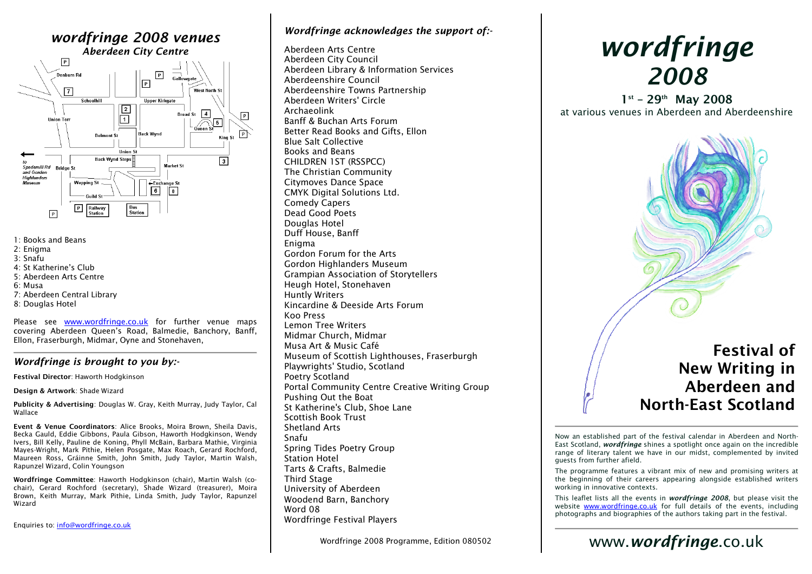## wordfringe 2008 venues Aberdeen City Centre



- 1: Books and Beans
- 2: Enigma
- 3: Snafu
- 4: St Katherine's Club
- 5: Aberdeen Arts Centre
- 6: Musa
- 7: Aberdeen Central Library
- 8: Douglas Hotel

Please see www.wordfringe.co.uk for further venue maps covering Aberdeen Queen's Road, Balmedie, Banchory, Banff, Ellon, Fraserburgh, Midmar, Oyne and Stonehaven,

#### Wordfringe is brought to you by:-

Festival Director: Haworth Hodgkinson

Design & Artwork: Shade Wizard

Publicity & Advertising: Douglas W. Gray, Keith Murray, Judy Taylor, Cal Wallace

Event & Venue Coordinators: Alice Brooks, Moira Brown, Sheila Davis, Becka Gauld, Eddie Gibbons, Paula Gibson, Haworth Hodgkinson, Wendy Ivers, Bill Kelly, Pauline de Koning, Phyll McBain, Barbara Mathie, Virginia Mayes-Wright, Mark Pithie, Helen Posgate, Max Roach, Gerard Rochford, Maureen Ross, Gráinne Smith, John Smith, Judy Taylor, Martin Walsh, Rapunzel Wizard, Colin Youngson

Wordfringe Committee: Haworth Hodgkinson (chair), Martin Walsh (cochair), Gerard Rochford (secretary), Shade Wizard (treasurer), Moira Brown, Keith Murray, Mark Pithie, Linda Smith, Judy Taylor, Rapunzel Wizard

Enquiries to: <u>info@wordfringe.co.uk</u>

### Wordfringe acknowledges the support of:-

Aberdeen Arts Centre Aberdeen City Council Aberdeen Library & Information Services Aberdeenshire Council Aberdeenshire Towns Partnership Aberdeen Writers' Circle Archaeolink Banff & Buchan Arts Forum Better Read Books and Gifts, Ellon Blue Salt Collective Books and Beans CHILDREN 1ST (RSSPCC) The Christian Community Citymoves Dance Space CMYK Digital Solutions Ltd. Comedy Capers Dead Good Poets Douglas Hotel Duff House, Banff Enigma Gordon Forum for the Arts Gordon Highlanders Museum Grampian Association of Storytellers Heugh Hotel, Stonehaven Huntly Writers Kincardine & Deeside Arts Forum Koo Press Lemon Tree Writers Midmar Church, Midmar Musa Art & Music Café Museum of Scottish Lighthouses, Fraserburgh Playwrights' Studio, Scotland Poetry Scotland Portal Community Centre Creative Writing Group Pushing Out the Boat St Katherine's Club, Shoe Lane Scottish Book Trust Shetland Arts Snafu Spring Tides Poetry Group Station Hotel Tarts & Crafts, Balmedie Third Stage University of Aberdeen Woodend Barn, Banchory Word 08 Wordfringe Festival Players

Wordfringe 2008 Programme, Edition 080502

# wordfringe2008

 $1^{st}$  – 29<sup>th</sup> May 2008 at various venues in Aberdeen and Aberdeenshire



## Festival of New Writing in Aberdeen and North-East Scotland

Now an established part of the festival calendar in Aberdeen and North-East Scotland, wordfringe shines a spotlight once again on the incredible range of literary talent we have in our midst, complemented by invited guests from further afield.

The programme features a vibrant mix of new and promising writers at the beginning of their careers appearing alongside established writers working in innovative contexts.

This leaflet lists all the events in wordfringe 2008, but please visit the website www.wordfringe.co.uk for full details of the events, including photographs and biographies of the authors taking part in the festival.

## www.wordfringe.co.uk